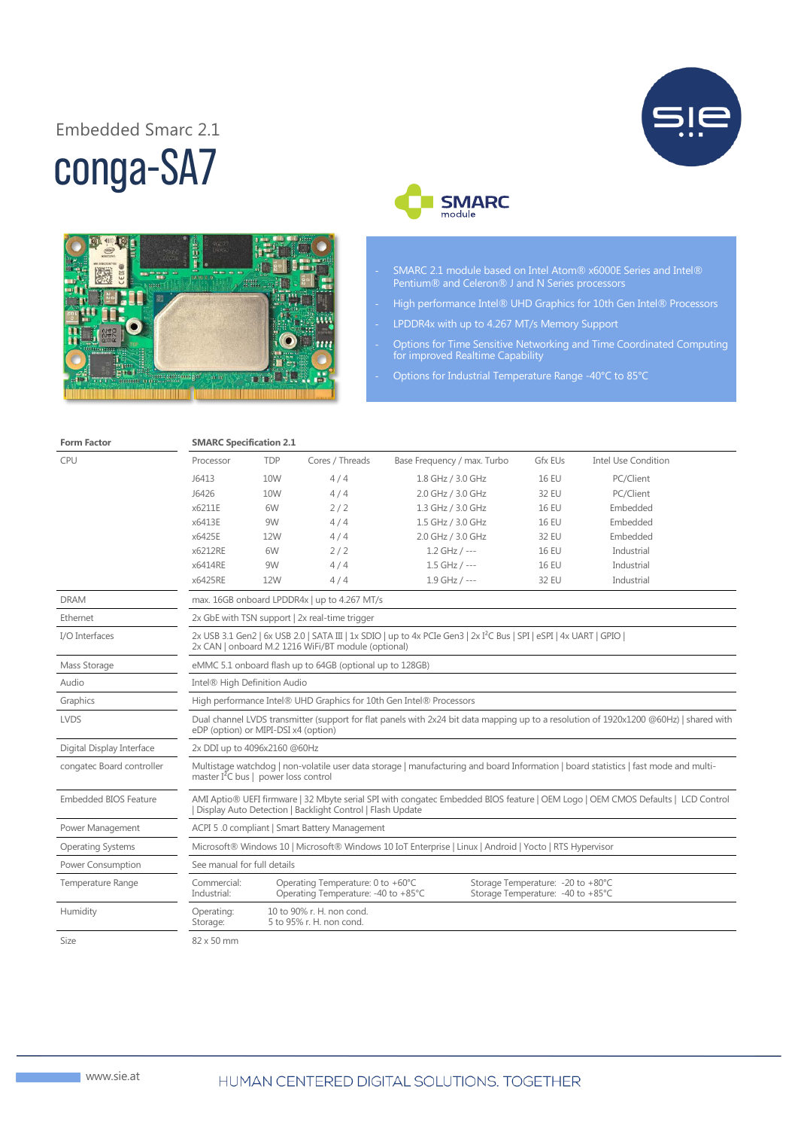## conga-SA7 Embedded Smarc 2.1







- SMARC 2.1 module based on Intel Atom® x6000E Series and Intel® Pentium® and Celeron® J and N Series processors
- High performance Intel® UHD Graphics for 10th Gen Intel® Processors
- LPDDR4x with up to 4.267 MT/s Memory Support
- Options for Time Sensitive Networking and Time Coordinated Computing for improved Realtime Capability
	- Options for Industrial Temperature Range -40°C to 85°C

| the contract of the contract of the | $-$ |
|-------------------------------------|-----|
|                                     |     |

**Form Factor Factor SMARC** Specification 2.1

| <b>CPU</b>                   | Processor                                                                                                                                                                                    | <b>TDP</b>                                    | Cores / Threads                                                          | Base Frequency / max. Turbo | <b>Gfx EUs</b>                                                          | <b>Intel Use Condition</b> |  |
|------------------------------|----------------------------------------------------------------------------------------------------------------------------------------------------------------------------------------------|-----------------------------------------------|--------------------------------------------------------------------------|-----------------------------|-------------------------------------------------------------------------|----------------------------|--|
|                              | J6413                                                                                                                                                                                        | 10W                                           | 4/4                                                                      | 1.8 GHz / 3.0 GHz           | <b>16 EU</b>                                                            | PC/Client                  |  |
|                              | J6426                                                                                                                                                                                        | 10W                                           | 4/4                                                                      | 2.0 GHz / 3.0 GHz           | 32 EU                                                                   | PC/Client                  |  |
|                              | x6211E                                                                                                                                                                                       | 6W                                            | 2/2                                                                      | 1.3 GHz / 3.0 GHz           | <b>16 EU</b>                                                            | Embedded                   |  |
|                              | x6413E                                                                                                                                                                                       | 9W                                            | 4/4                                                                      | 1.5 GHz / 3.0 GHz           | <b>16 EU</b>                                                            | Embedded                   |  |
|                              | x6425E                                                                                                                                                                                       | 12W                                           | 4/4                                                                      | 2.0 GHz / 3.0 GHz           | 32 EU                                                                   | Embedded                   |  |
|                              | x6212RE                                                                                                                                                                                      | 6W                                            | 2/2                                                                      | $1.2$ GHz / ---             | <b>16 EU</b>                                                            | Industrial                 |  |
|                              | x6414RE                                                                                                                                                                                      | 9W                                            | 4/4                                                                      | $1.5$ GHz / ---             | <b>16 EU</b>                                                            | Industrial                 |  |
|                              | x6425RE                                                                                                                                                                                      | 12W                                           | 4/4                                                                      | $1.9$ GHz / ---             | 32 EU                                                                   | Industrial                 |  |
| <b>DRAM</b>                  | max. 16GB onboard LPDDR4x   up to 4.267 MT/s                                                                                                                                                 |                                               |                                                                          |                             |                                                                         |                            |  |
| Ethernet                     | 2x GbE with TSN support   2x real-time trigger                                                                                                                                               |                                               |                                                                          |                             |                                                                         |                            |  |
| I/O Interfaces               | 2x USB 3.1 Gen2   6x USB 2.0   SATA III   1x SDIO   up to 4x PCIe Gen3   2x I <sup>2</sup> C Bus   SPI   eSPI   4x UART   GPIO  <br>2x CAN   onboard M.2 1216 WiFi/BT module (optional)      |                                               |                                                                          |                             |                                                                         |                            |  |
| Mass Storage                 | eMMC 5.1 onboard flash up to 64GB (optional up to 128GB)                                                                                                                                     |                                               |                                                                          |                             |                                                                         |                            |  |
| Audio                        | Intel® High Definition Audio                                                                                                                                                                 |                                               |                                                                          |                             |                                                                         |                            |  |
| Graphics                     | High performance Intel® UHD Graphics for 10th Gen Intel® Processors                                                                                                                          |                                               |                                                                          |                             |                                                                         |                            |  |
| <b>LVDS</b>                  | Dual channel LVDS transmitter (support for flat panels with 2x24 bit data mapping up to a resolution of 1920x1200 @60Hz)   shared with<br>eDP (option) or MIPI-DSI x4 (option)               |                                               |                                                                          |                             |                                                                         |                            |  |
| Digital Display Interface    |                                                                                                                                                                                              | 2x DDI up to 4096x2160 @60Hz                  |                                                                          |                             |                                                                         |                            |  |
| congatec Board controller    | Multistage watchdog   non-volatile user data storage   manufacturing and board Information   board statistics   fast mode and multi-<br>master $I^2C$ bus   power loss control               |                                               |                                                                          |                             |                                                                         |                            |  |
| <b>Embedded BIOS Feature</b> | AMI Aptio® UEFI firmware   32 Mbyte serial SPI with congatec Embedded BIOS feature   OEM Logo   OEM CMOS Defaults   LCD Control<br>Display Auto Detection   Backlight Control   Flash Update |                                               |                                                                          |                             |                                                                         |                            |  |
| Power Management             |                                                                                                                                                                                              | ACPI 5.0 compliant   Smart Battery Management |                                                                          |                             |                                                                         |                            |  |
| <b>Operating Systems</b>     | Microsoft® Windows 10   Microsoft® Windows 10 IoT Enterprise   Linux   Android   Yocto   RTS Hypervisor                                                                                      |                                               |                                                                          |                             |                                                                         |                            |  |
| Power Consumption            | See manual for full details                                                                                                                                                                  |                                               |                                                                          |                             |                                                                         |                            |  |
| Temperature Range            | Commercial:<br>Industrial:                                                                                                                                                                   |                                               | Operating Temperature: 0 to +60°C<br>Operating Temperature: -40 to +85°C |                             | Storage Temperature: - 20 to +80°C<br>Storage Temperature: -40 to +85°C |                            |  |
| Humidity                     | Operating:<br>Storage:                                                                                                                                                                       |                                               | 10 to 90% r. H. non cond.<br>5 to 95% r. H. non cond.                    |                             |                                                                         |                            |  |
| Size                         | 82 x 50 mm                                                                                                                                                                                   |                                               |                                                                          |                             |                                                                         |                            |  |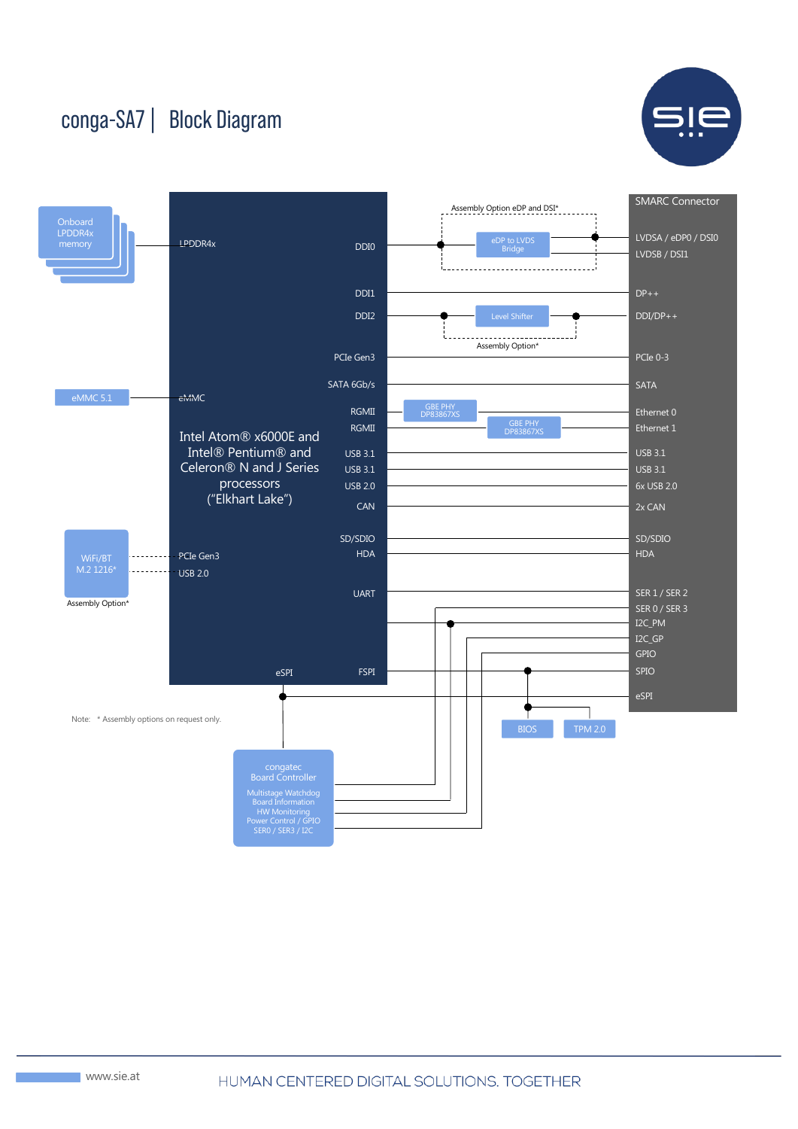## conga-SA7 | Block Diagram